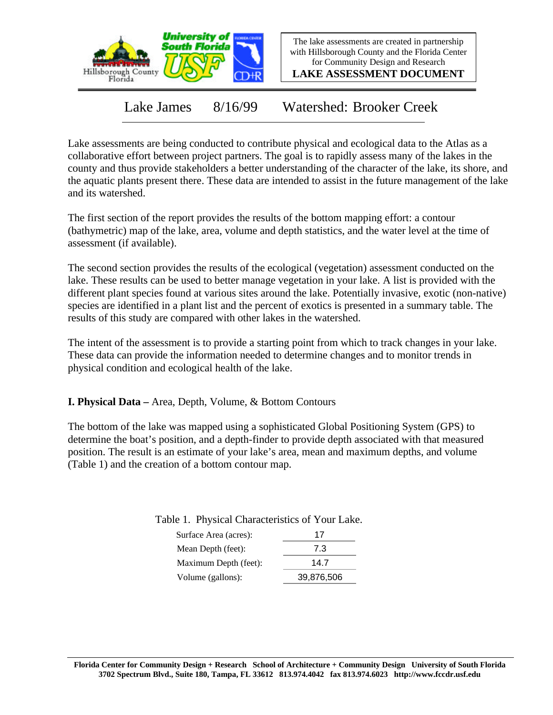

The lake assessments are created in partnership with Hillsborough County and the Florida Center for Community Design and Research

**LAKE ASSESSMENT DOCUMENT**

Lake James 8/16/99 Watershed: Brooker Creek

Lake assessments are being conducted to contribute physical and ecological data to the Atlas as a collaborative effort between project partners. The goal is to rapidly assess many of the lakes in the county and thus provide stakeholders a better understanding of the character of the lake, its shore, and the aquatic plants present there. These data are intended to assist in the future management of the lake and its watershed.

The first section of the report provides the results of the bottom mapping effort: a contour (bathymetric) map of the lake, area, volume and depth statistics, and the water level at the time of assessment (if available).

The second section provides the results of the ecological (vegetation) assessment conducted on the lake. These results can be used to better manage vegetation in your lake. A list is provided with the different plant species found at various sites around the lake. Potentially invasive, exotic (non-native) species are identified in a plant list and the percent of exotics is presented in a summary table. The results of this study are compared with other lakes in the watershed.

The intent of the assessment is to provide a starting point from which to track changes in your lake. These data can provide the information needed to determine changes and to monitor trends in physical condition and ecological health of the lake.

**I. Physical Data –** Area, Depth, Volume, & Bottom Contours

The bottom of the lake was mapped using a sophisticated Global Positioning System (GPS) to determine the boat's position, and a depth-finder to provide depth associated with that measured position. The result is an estimate of your lake's area, mean and maximum depths, and volume (Table 1) and the creation of a bottom contour map.

| - - - - -- , -- - - - - |            |
|-------------------------|------------|
| Surface Area (acres):   | 17         |
| Mean Depth (feet):      | 7.3        |
| Maximum Depth (feet):   | 14.7       |
| Volume (gallons):       | 39,876,506 |

Table 1. Physical Characteristics of Your Lake.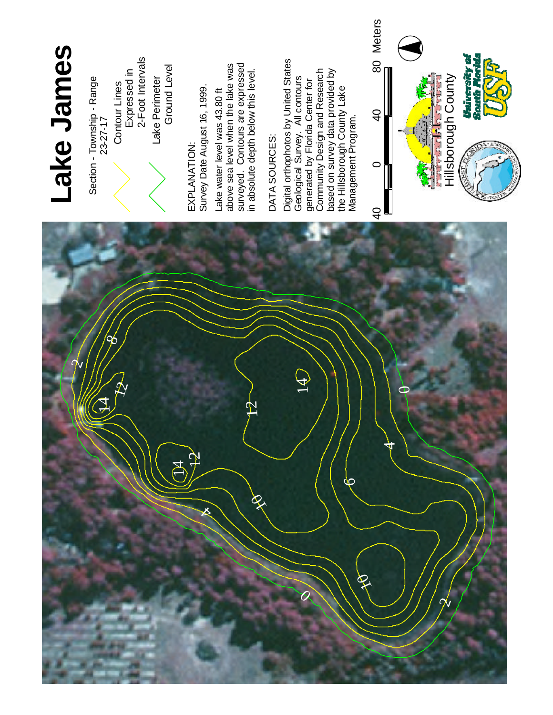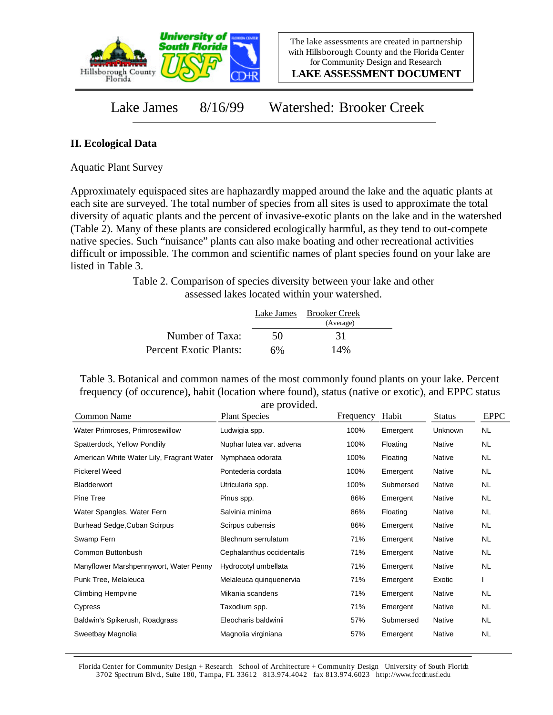

**LAKE ASSESSMENT DOCUMENT**

Lake James 8/16/99 Watershed: Brooker Creek

## **II. Ecological Data**

Aquatic Plant Survey

Approximately equispaced sites are haphazardly mapped around the lake and the aquatic plants at each site are surveyed. The total number of species from all sites is used to approximate the total diversity of aquatic plants and the percent of invasive-exotic plants on the lake and in the watershed (Table 2). Many of these plants are considered ecologically harmful, as they tend to out-compete native species. Such "nuisance" plants can also make boating and other recreational activities difficult or impossible. The common and scientific names of plant species found on your lake are listed in Table 3.

> Table 2. Comparison of species diversity between your lake and other assessed lakes located within your watershed.

|                        |    | Lake James Brooker Creek<br>(Average) |  |
|------------------------|----|---------------------------------------|--|
| Number of Taxa:        | 50 | 31                                    |  |
| Percent Exotic Plants: | 6% | 14%                                   |  |

Table 3. Botanical and common names of the most commonly found plants on your lake. Percent frequency (of occurence), habit (location where found), status (native or exotic), and EPPC status are provided.

|      |           |         | <b>EPPC</b> |
|------|-----------|---------|-------------|
| 100% | Emergent  | Unknown | <b>NL</b>   |
| 100% | Floating  | Native  | NL.         |
| 100% | Floating  | Native  | NL.         |
| 100% | Emergent  | Native  | NL.         |
| 100% | Submersed | Native  | NL.         |
| 86%  | Emergent  | Native  | NL.         |
| 86%  | Floating  | Native  | NL          |
| 86%  | Emergent  | Native  | NL.         |
| 71%  | Emergent  | Native  | NL.         |
| 71%  | Emergent  | Native  | NL          |
| 71%  | Emergent  | Native  | NL          |
| 71%  | Emergent  | Exotic  |             |
| 71%  | Emergent  | Native  | NL          |
| 71%  | Emergent  | Native  | <b>NL</b>   |
| 57%  | Submersed | Native  | NL.         |
| 57%  | Emergent  | Native  | <b>NL</b>   |
|      |           |         |             |

Florida Center for Community Design + Research School of Architecture + Community Design University of South Florida 3702 Spectrum Blvd., Suite 180, Tampa, FL 33612 813.974.4042 fax 813.974.6023 http://www.fccdr.usf.edu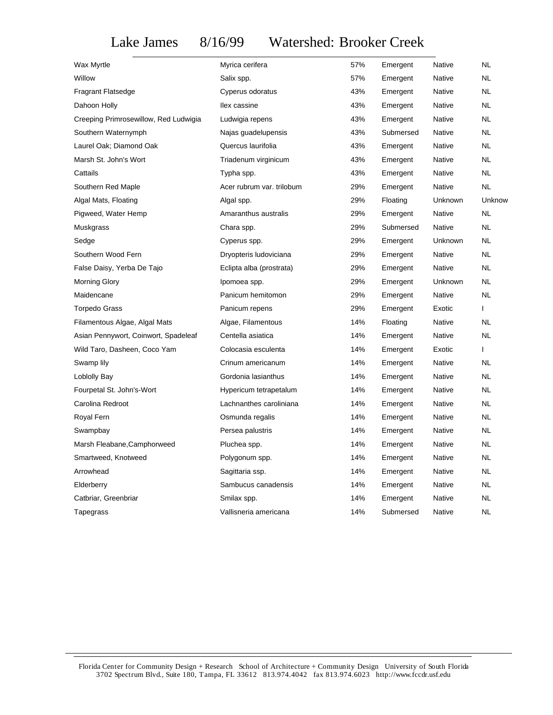Lake James 8/16/99 Watershed: Brooker Creek

| Wax Myrtle                            | Myrica cerifera           | 57% | Emergent  | Native        | NL        |
|---------------------------------------|---------------------------|-----|-----------|---------------|-----------|
| Willow                                | Salix spp.                | 57% | Emergent  | Native        | NL        |
| <b>Fragrant Flatsedge</b>             | Cyperus odoratus          | 43% | Emergent  | <b>Native</b> | <b>NL</b> |
| Dahoon Holly                          | llex cassine              | 43% | Emergent  | Native        | NL        |
| Creeping Primrosewillow, Red Ludwigia | Ludwigia repens           | 43% | Emergent  | Native        | NL        |
| Southern Waternymph                   | Najas guadelupensis       | 43% | Submersed | Native        | NL        |
| Laurel Oak; Diamond Oak               | Quercus laurifolia        | 43% | Emergent  | <b>Native</b> | NL.       |
| Marsh St. John's Wort                 | Triadenum virginicum      | 43% | Emergent  | <b>Native</b> | <b>NL</b> |
| Cattails                              | Typha spp.                | 43% | Emergent  | Native        | NL        |
| Southern Red Maple                    | Acer rubrum var. trilobum | 29% | Emergent  | Native        | <b>NL</b> |
| Algal Mats, Floating                  | Algal spp.                | 29% | Floating  | Unknown       | Unknow    |
| Pigweed, Water Hemp                   | Amaranthus australis      | 29% | Emergent  | Native        | <b>NL</b> |
| Muskgrass                             | Chara spp.                | 29% | Submersed | Native        | NL        |
| Sedge                                 | Cyperus spp.              | 29% | Emergent  | Unknown       | <b>NL</b> |
| Southern Wood Fern                    | Dryopteris Iudoviciana    | 29% | Emergent  | Native        | <b>NL</b> |
| False Daisy, Yerba De Tajo            | Eclipta alba (prostrata)  | 29% | Emergent  | Native        | NL        |
| <b>Morning Glory</b>                  | Ipomoea spp.              | 29% | Emergent  | Unknown       | <b>NL</b> |
| Maidencane                            | Panicum hemitomon         | 29% | Emergent  | <b>Native</b> | <b>NL</b> |
| <b>Torpedo Grass</b>                  | Panicum repens            | 29% | Emergent  | Exotic        | L         |
| Filamentous Algae, Algal Mats         | Algae, Filamentous        | 14% | Floating  | Native        | NL        |
| Asian Pennywort, Coinwort, Spadeleaf  | Centella asiatica         | 14% | Emergent  | Native        | <b>NL</b> |
| Wild Taro, Dasheen, Coco Yam          | Colocasia esculenta       | 14% | Emergent  | Exotic        | L         |
| Swamp lily                            | Crinum americanum         | 14% | Emergent  | Native        | NL        |
| Loblolly Bay                          | Gordonia lasianthus       | 14% | Emergent  | Native        | NL        |
| Fourpetal St. John's-Wort             | Hypericum tetrapetalum    | 14% | Emergent  | Native        | NL        |
| Carolina Redroot                      | Lachnanthes caroliniana   | 14% | Emergent  | Native        | NL        |
| Royal Fern                            | Osmunda regalis           | 14% | Emergent  | Native        | <b>NL</b> |
| Swampbay                              | Persea palustris          | 14% | Emergent  | Native        | NL        |
| Marsh Fleabane, Camphorweed           | Pluchea spp.              | 14% | Emergent  | Native        | NL.       |
| Smartweed, Knotweed                   | Polygonum spp.            | 14% | Emergent  | <b>Native</b> | <b>NL</b> |
| Arrowhead                             | Sagittaria ssp.           | 14% | Emergent  | Native        | <b>NL</b> |
| Elderberry                            | Sambucus canadensis       | 14% | Emergent  | Native        | NL        |
| Catbriar, Greenbriar                  | Smilax spp.               | 14% | Emergent  | Native        | <b>NL</b> |
| Tapegrass                             | Vallisneria americana     | 14% | Submersed | <b>Native</b> | <b>NL</b> |
|                                       |                           |     |           |               |           |